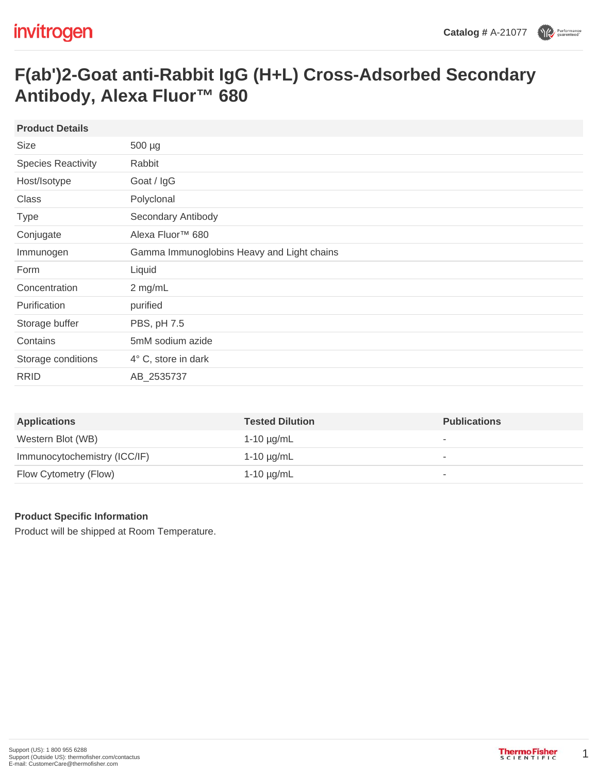## **F(ab')2-Goat anti-Rabbit IgG (H+L) Cross-Adsorbed Secondary Antibody, Alexa Fluor™ 680**

| 500 µg                                     |
|--------------------------------------------|
| Rabbit                                     |
| Goat / IgG                                 |
| Polyclonal                                 |
| Secondary Antibody                         |
| Alexa Fluor <sup>™</sup> 680               |
| Gamma Immunoglobins Heavy and Light chains |
| Liquid                                     |
| 2 mg/mL                                    |
| purified                                   |
| PBS, pH 7.5                                |
| 5mM sodium azide                           |
| 4° C, store in dark                        |
| AB_2535737                                 |
|                                            |

| <b>Applications</b>          | <b>Tested Dilution</b> | <b>Publications</b> |
|------------------------------|------------------------|---------------------|
| Western Blot (WB)            | 1-10 $\mu$ g/mL        | ۰                   |
| Immunocytochemistry (ICC/IF) | $1-10 \mu g/mL$        | -                   |
| Flow Cytometry (Flow)        | 1-10 µg/mL             | ۰                   |

## **Product Specific Information**

Product will be shipped at Room Temperature.

1